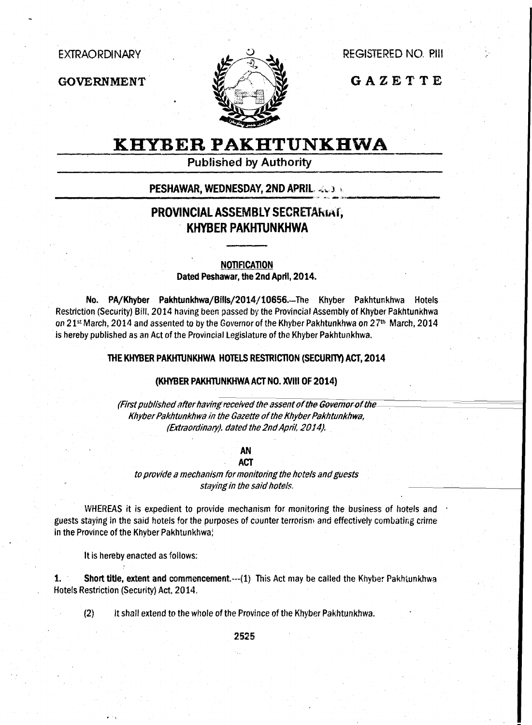**EXTRAORDINARY** 

**GOVERNMENT** 



**REGISTERED NO. PIII** 

GAZETTE

# **KHYBER PAKHTUNKHWA**

**Published by Authority** 

### **PESHAWAR, WEDNESDAY, 2ND APRIL, 2003 A**

## PROVINCIAL ASSEMBLY SECRETARIAT, **KHYBER PAKHTUNKHWA**

**NOTIFICATION** Dated Peshawar, the 2nd April, 2014.

PA/Khyber Pakhtunkhwa/Bills/2014/10656.-The Khyber Pakhtunkhwa Hotels No. Restriction (Security) Bill, 2014 having been passed by the Provincial Assembly of Khyber Pakhtunkhwa on 21st March, 2014 and assented to by the Governor of the Khyber Pakhtunkhwa on 27th March, 2014 is hereby published as an Act of the Provincial Legislature of the Khyber Pakhtunkhwa.

#### THE KHYBER PAKHTUNKHWA HOTELS RESTRICTION (SECURITY) ACT, 2014

#### (KHYBER PAKHTUNKHWA ACT NO. XVIII OF 2014)

(First published after having received the assent of the Governor of the Khyber Pakhtunkhwa in the Gazette of the Khyber Pakhtunkhwa, (Extraordinary). dated the 2nd April, 2014).

#### **AN ACT**

to provide a mechanism for monitoring the hotels and guests staying in the said hotels.

WHEREAS it is expedient to provide mechanism for monitoring the business of hotels and guests staying in the said hotels for the purposes of counter terrorism and effectively combating crime in the Province of the Khyber Pakhtunkhwa;

It is hereby enacted as follows:

Short title, extent and commencement.--- (1) This Act may be called the Khyber Pakhtunkhwa 1. Hotels Restriction (Security) Act. 2014.

 $(2)$ It shall extend to the whole of the Province of the Khyber Pakhtunkhwa.

2525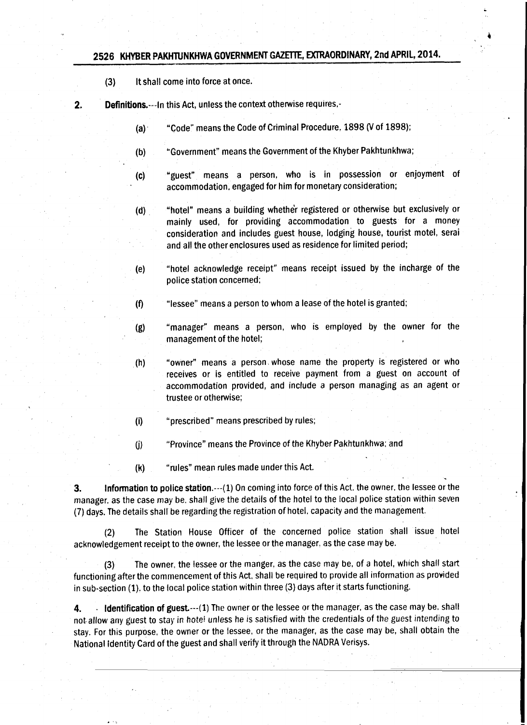### 2526 KHYBER PAKHTUNKHWA GOVERNMENT GAZETTE, EXTRAORDINARY, 2nd APRIL, 2014.

- It shall come into force at once.  $(3)$
- $2.$ Definitions.--- In this Act, unless the context otherwise requires,-
	- "Code" means the Code of Criminal Procedure, 1898 (V of 1898);  $(a)$
	- "Government" means the Government of the Khyber Pakhtunkhwa;  $(b)$
	- "guest" means a person, who is in possession or enjoyment of  $(c)$ accommodation, engaged for him for monetary consideration;
	- "hotel" means a building whether registered or otherwise but exclusively or  $(d)$ mainly used, for providing accommodation to guests for a money consideration and includes guest house, lodging house, tourist motel, serai and all the other enclosures used as residence for limited period:
	- "hotel acknowledge receipt" means receipt issued by the incharge of the  $(e)$ police station concerned;
	- "lessee" means a person to whom a lease of the hotel is granted;  $(f)$
	- "manager" means a person, who is employed by the owner for the  $(g)$ management of the hotel;
	- "owner" means a person whose name the property is registered or who  $(h)$ receives or is entitled to receive payment from a guest on account of accommodation provided, and include a person managing as an agent or trustee or otherwise;
	- "prescribed" means prescribed by rules;  $(i)$
	- "Province" means the Province of the Khyber Pakhtunkhwa; and  $(i)$
	- $(k)$ "rules" mean rules made under this Act.

Information to police station.--- (1) On coming into force of this Act. the owner, the lessee or the 3. manager, as the case may be, shall give the details of the hotel to the local police station within seven (7) days. The details shall be regarding the registration of hotel, capacity and the management.

The Station House Officer of the concerned police station shall issue hotel  $(2)$ acknowledgement receipt to the owner, the lessee or the manager, as the case may be.

The owner, the lessee or the manger, as the case may be, of a hotel, which shall start  $(3)$ functioning after the commencement of this Act, shall be required to provide all information as provided in sub-section (1). to the local police station within three (3) days after it starts functioning.

Identification of guest.--- (1) The owner or the lessee or the manager, as the case may be, shall 4. not allow any guest to stay in hotel unless he is satisfied with the credentials of the guest intending to stay. For this purpose, the owner or the lessee, or the manager, as the case may be, shall obtain the National Identity Card of the guest and shall verify it through the NADRA Verisys.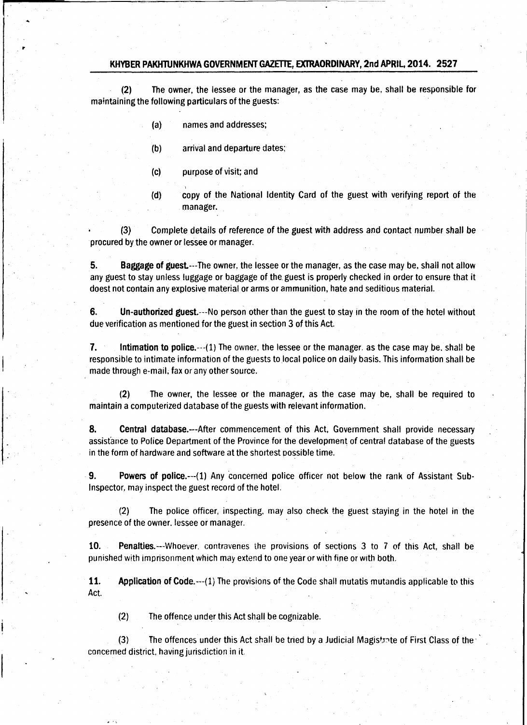#### KHYBER PAKHTUNKHWA GOVERNMENT GAZETTE, EXTRAORDINARY, 2nd APRIL, 2014. 2527

 $(2)$ The owner, the lessee or the manager, as the case may be, shall be responsible for maintaining the following particulars of the guests:

- names and addresses:  $(a)$
- arrival and departure dates;  $(b)$
- purpose of visit; and  $(c)$
- copy of the National Identity Card of the guest with verifying report of the  $(d)$ manager.

Complete details of reference of the guest with address and contact number shall be  $(3)$ procured by the owner or lessee or manager.

5. Baggage of guest.---The owner, the lessee or the manager, as the case may be, shall not allow any guest to stay unless luggage or baggage of the guest is properly checked in order to ensure that it doest not contain any explosive material or arms or ammunition, hate and seditious material.

Un-authorized guest.---No person other than the guest to stay in the room of the hotel without 6. due verification as mentioned for the guest in section 3 of this Act.

7. Intimation to police.--- (1) The owner, the lessee or the manager, as the case may be, shall be responsible to intimate information of the guests to local police on daily basis. This information shall be made through e-mail, fax or any other source.

The owner, the lessee or the manager, as the case may be, shall be required to  $(2)$ maintain a computerized database of the guests with relevant information.

8. Central database.---After commencement of this Act, Government shall provide necessary assistance to Police Department of the Province for the development of central database of the guests in the form of hardware and software at the shortest possible time.

**g.** Powers of police.---(1) Any concerned police officer not below the rank of Assistant Sub-Inspector, may inspect the guest record of the hotel.

 $(2)$ The police officer, inspecting, may also check the guest staying in the hotel in the presence of the owner. lessee or manager.

10. Penalties.---Whoever, contravenes the provisions of sections 3 to 7 of this Act, shall be punished with imprisonment which may extend to one year or with fine or with both.

11. Application of Code.--- (1) The provisions of the Code shall mutatis mutandis applicable to this Act.

 $(2)$ The offence under this Act shall be cognizable.

The offences under this Act shall be tried by a Judicial Magistrate of First Class of the  $(3)$ concerned district, having jurisdiction in it.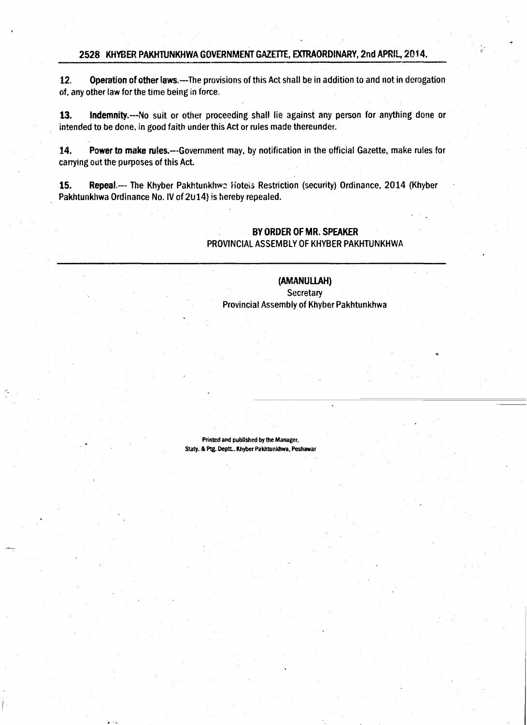#### 2528 KHYBER PAKHTUNKHWA GOVERNMENT GAZETTE, EXTRAORDINARY, 2nd APRIL, 2014.

 $12.$ Operation of other laws.---The provisions of this Act shall be in addition to and not in derogation of, any other law for the time being in force.

13. Indemnity.---No suit or other proceeding shall lie against any person for anything done or intended to be done, in good faith under this Act or rules made thereunder.

14. Power to make rules.---Government may, by notification in the official Gazette, make rules for carrying out the purposes of this Act.

Repeal .--- The Khyber Pakhtunkhwa Hotels Restriction (security) Ordinance, 2014 (Khyber 15. Pakhtunkhwa Ordinance No. IV of 2014) is hereby repealed.

### BY ORDER OF MR. SPEAKER PROVINCIAL ASSEMBLY OF KHYBER PAKHTUNKHWA

### (AMANULLAH) **Secretary**

Provincial Assembly of Khyber Pakhtunkhwa

Printed and published by the Manager. Staty. & Ptg. Deptt., Khyber Pakhtunkhwa, Peshawar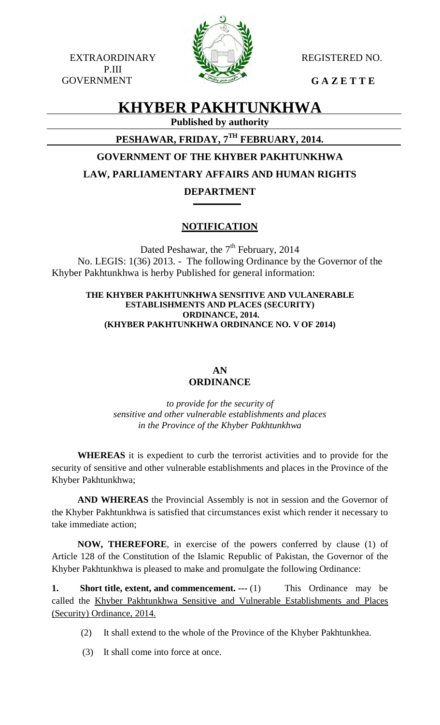EXTRAORDINARY WE REGISTERED NO. P.III GOVERNMENT **G A Z E T T E** 



# **KHYBER PAKHTUNKHWA**

**Published by authority**

# **PESHAWAR, FRIDAY, 7TH FEBRUARY, 2014.**

# **GOVERNMENT OF THE KHYBER PAKHTUNKHWA**

# **LAW, PARLIAMENTARY AFFAIRS AND HUMAN RIGHTS**

## **DEPARTMENT**

# **NOTIFICATION**

Dated Peshawar, the  $7<sup>th</sup>$  February, 2014 No. LEGIS: 1(36) 2013. - The following Ordinance by the Governor of the Khyber Pakhtunkhwa is herby Published for general information:

### **THE KHYBER PAKHTUNKHWA SENSITIVE AND VULANERABLE ESTABLISHMENTS AND PLACES (SECURITY) ORDINANCE, 2014. (KHYBER PAKHTUNKHWA ORDINANCE NO. V OF 2014)**

## **AN ORDINANCE**

*to provide for the security of sensitive and other vulnerable establishments and places in the Province of the Khyber Pakhtunkhwa*

**WHEREAS** it is expedient to curb the terrorist activities and to provide for the security of sensitive and other vulnerable establishments and places in the Province of the Khyber Pakhtunkhwa;

**AND WHEREAS** the Provincial Assembly is not in session and the Governor of the Khyber Pakhtunkhwa is satisfied that circumstances exist which render it necessary to take immediate action;

**NOW, THEREFORE**, in exercise of the powers conferred by clause (1) of Article 128 of the Constitution of the Islamic Republic of Pakistan, the Governor of the Khyber Pakhtunkhwa is pleased to make and promulgate the following Ordinance:

**1. Short title, extent, and commencement. ---** (1) This Ordinance may be called the Khyber Pakhtunkhwa Sensitive and Vulnerable Establishments and Places (Security) Ordinance, 2014.

- (2) It shall extend to the whole of the Province of the Khyber Pakhtunkhea.
- (3) It shall come into force at once.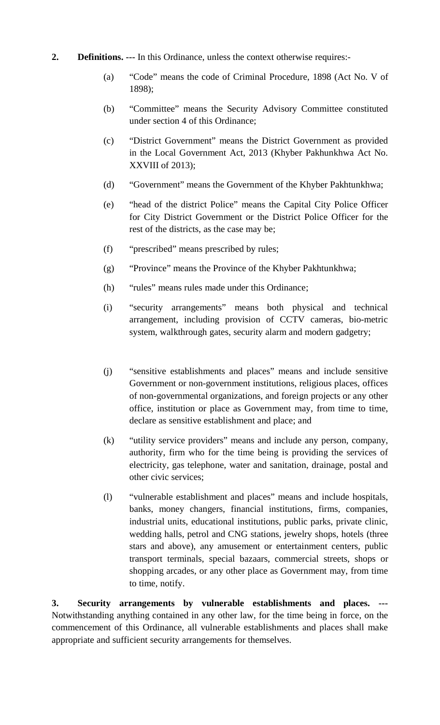## **2. Definitions. ---** In this Ordinance, unless the context otherwise requires:-

- (a) "Code" means the code of Criminal Procedure, 1898 (Act No. V of 1898);
- (b) "Committee" means the Security Advisory Committee constituted under section 4 of this Ordinance;
- (c) "District Government" means the District Government as provided in the Local Government Act, 2013 (Khyber Pakhunkhwa Act No. XXVIII of 2013);
- (d) "Government" means the Government of the Khyber Pakhtunkhwa;
- (e) "head of the district Police" means the Capital City Police Officer for City District Government or the District Police Officer for the rest of the districts, as the case may be;
- (f) "prescribed" means prescribed by rules;
- (g) "Province" means the Province of the Khyber Pakhtunkhwa;
- (h) "rules" means rules made under this Ordinance;
- (i) "security arrangements" means both physical and technical arrangement, including provision of CCTV cameras, bio-metric system, walkthrough gates, security alarm and modern gadgetry;
- (j) "sensitive establishments and places" means and include sensitive Government or non-government institutions, religious places, offices of non-governmental organizations, and foreign projects or any other office, institution or place as Government may, from time to time, declare as sensitive establishment and place; and
- (k) "utility service providers" means and include any person, company, authority, firm who for the time being is providing the services of electricity, gas telephone, water and sanitation, drainage, postal and other civic services;
- (l) "vulnerable establishment and places" means and include hospitals, banks, money changers, financial institutions, firms, companies, industrial units, educational institutions, public parks, private clinic, wedding halls, petrol and CNG stations, jewelry shops, hotels (three stars and above), any amusement or entertainment centers, public transport terminals, special bazaars, commercial streets, shops or shopping arcades, or any other place as Government may, from time to time, notify.

**3. Security arrangements by vulnerable establishments and places. ---** Notwithstanding anything contained in any other law, for the time being in force, on the commencement of this Ordinance, all vulnerable establishments and places shall make appropriate and sufficient security arrangements for themselves.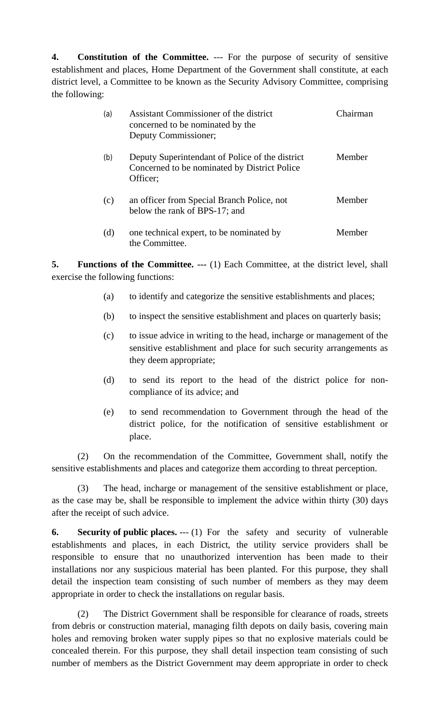**4. Constitution of the Committee.** --- For the purpose of security of sensitive establishment and places, Home Department of the Government shall constitute, at each district level, a Committee to be known as the Security Advisory Committee, comprising the following:

| (a) | Assistant Commissioner of the district<br>concerned to be nominated by the<br>Deputy Commissioner;          | Chairman |
|-----|-------------------------------------------------------------------------------------------------------------|----------|
| (b) | Deputy Superintendant of Police of the district<br>Concerned to be nominated by District Police<br>Officer; | Member   |
| (c) | an officer from Special Branch Police, not<br>below the rank of BPS-17; and                                 | Member   |
| (d) | one technical expert, to be nominated by<br>the Committee.                                                  | Member   |

**5. Functions of the Committee. ---** (1) Each Committee, at the district level, shall exercise the following functions:

- (a) to identify and categorize the sensitive establishments and places;
- (b) to inspect the sensitive establishment and places on quarterly basis;
- (c) to issue advice in writing to the head, incharge or management of the sensitive establishment and place for such security arrangements as they deem appropriate;
- (d) to send its report to the head of the district police for noncompliance of its advice; and
- (e) to send recommendation to Government through the head of the district police, for the notification of sensitive establishment or place.

(2) On the recommendation of the Committee, Government shall, notify the sensitive establishments and places and categorize them according to threat perception.

(3) The head, incharge or management of the sensitive establishment or place, as the case may be, shall be responsible to implement the advice within thirty (30) days after the receipt of such advice.

**6. Security of public places.** --- (1) For the safety and security of vulnerable establishments and places, in each District, the utility service providers shall be responsible to ensure that no unauthorized intervention has been made to their installations nor any suspicious material has been planted. For this purpose, they shall detail the inspection team consisting of such number of members as they may deem appropriate in order to check the installations on regular basis.

(2) The District Government shall be responsible for clearance of roads, streets from debris or construction material, managing filth depots on daily basis, covering main holes and removing broken water supply pipes so that no explosive materials could be concealed therein. For this purpose, they shall detail inspection team consisting of such number of members as the District Government may deem appropriate in order to check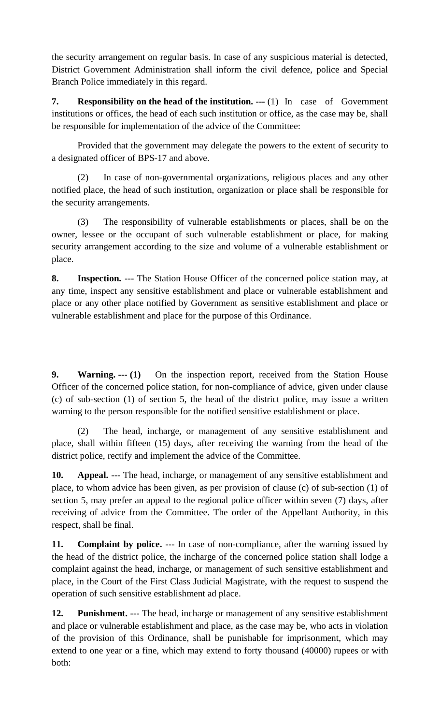the security arrangement on regular basis. In case of any suspicious material is detected, District Government Administration shall inform the civil defence, police and Special Branch Police immediately in this regard.

**7. Responsibility on the head of the institution. ---** (1) In case of Government institutions or offices, the head of each such institution or office, as the case may be, shall be responsible for implementation of the advice of the Committee:

Provided that the government may delegate the powers to the extent of security to a designated officer of BPS-17 and above.

(2) In case of non-governmental organizations, religious places and any other notified place, the head of such institution, organization or place shall be responsible for the security arrangements.

(3) The responsibility of vulnerable establishments or places, shall be on the owner, lessee or the occupant of such vulnerable establishment or place, for making security arrangement according to the size and volume of a vulnerable establishment or place.

**8. Inspection. ---** The Station House Officer of the concerned police station may, at any time, inspect any sensitive establishment and place or vulnerable establishment and place or any other place notified by Government as sensitive establishment and place or vulnerable establishment and place for the purpose of this Ordinance.

**9. Warning. --- (1)** On the inspection report, received from the Station House Officer of the concerned police station, for non-compliance of advice, given under clause (c) of sub-section (1) of section 5, the head of the district police, may issue a written warning to the person responsible for the notified sensitive establishment or place.

(2) The head, incharge, or management of any sensitive establishment and place, shall within fifteen (15) days, after receiving the warning from the head of the district police, rectify and implement the advice of the Committee.

**10. Appeal. ---** The head, incharge, or management of any sensitive establishment and place, to whom advice has been given, as per provision of clause (c) of sub-section (1) of section 5, may prefer an appeal to the regional police officer within seven (7) days, after receiving of advice from the Committee. The order of the Appellant Authority, in this respect, shall be final.

**11. Complaint by police. ---** In case of non-compliance, after the warning issued by the head of the district police, the incharge of the concerned police station shall lodge a complaint against the head, incharge, or management of such sensitive establishment and place, in the Court of the First Class Judicial Magistrate, with the request to suspend the operation of such sensitive establishment ad place.

**12. Punishment. ---** The head, incharge or management of any sensitive establishment and place or vulnerable establishment and place, as the case may be, who acts in violation of the provision of this Ordinance, shall be punishable for imprisonment, which may extend to one year or a fine, which may extend to forty thousand (40000) rupees or with both: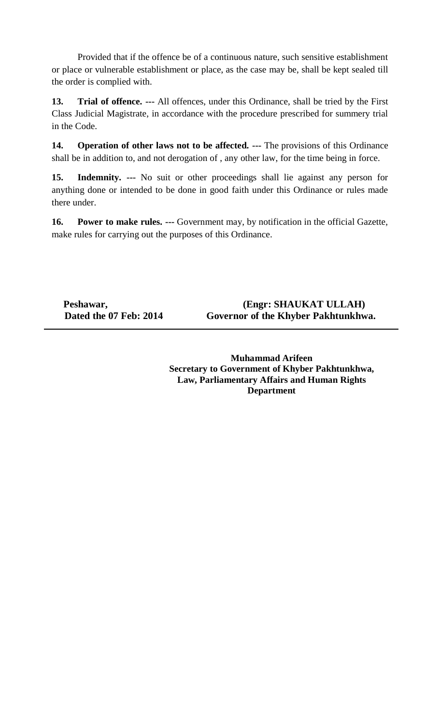Provided that if the offence be of a continuous nature, such sensitive establishment or place or vulnerable establishment or place, as the case may be, shall be kept sealed till the order is complied with.

**13. Trial of offence. ---** All offences, under this Ordinance, shall be tried by the First Class Judicial Magistrate, in accordance with the procedure prescribed for summery trial in the Code.

**14. Operation of other laws not to be affected. ---** The provisions of this Ordinance shall be in addition to, and not derogation of , any other law, for the time being in force.

**15. Indemnity. ---** No suit or other proceedings shall lie against any person for anything done or intended to be done in good faith under this Ordinance or rules made there under.

**16. Power to make rules. ---** Government may, by notification in the official Gazette, make rules for carrying out the purposes of this Ordinance.

Peshawar, **Peshawar,** *(Engr: SHAUKAT ULLAH)*  **Dated the 07 Feb: 2014 Governor of the Khyber Pakhtunkhwa.** 

> **Muhammad Arifeen Secretary to Government of Khyber Pakhtunkhwa, Law, Parliamentary Affairs and Human Rights Department**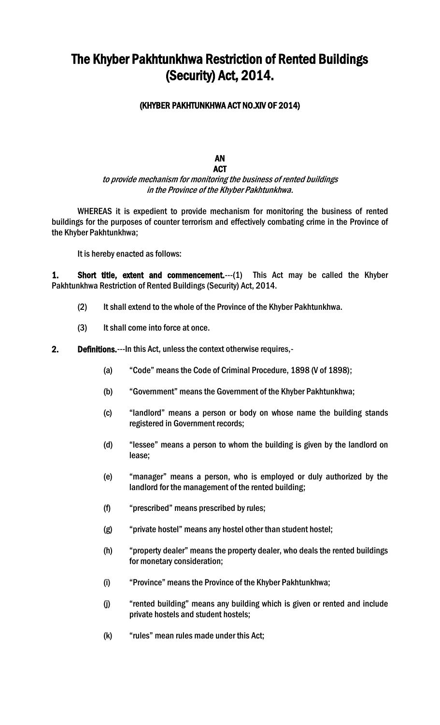# The Khyber Pakhtunkhwa Restriction of Rented Buildings (Security) Act, 2014.

### (KHYBER PAKHTUNKHWA ACT NO.XIV OF 2014)

### AN ACT

## to provide mechanism for monitoring the business of rented buildings in the Province of the Khyber Pakhtunkhwa.

 WHEREAS it is expedient to provide mechanism for monitoring the business of rented buildings for the purposes of counter terrorism and effectively combating crime in the Province of the Khyber Pakhtunkhwa;

It is hereby enacted as follows:

1. Short title, extent and commencement.---(1) This Act may be called the Khyber Pakhtunkhwa Restriction of Rented Buildings (Security) Act, 2014.

- (2) It shall extend to the whole of the Province of the Khyber Pakhtunkhwa.
- (3) It shall come into force at once.

### 2. Definitions.---In this Act, unless the context otherwise requires,-

- (a) "Code" means the Code of Criminal Procedure, 1898 (V of 1898);
- (b) "Government" means the Government of the Khyber Pakhtunkhwa;
- (c) "landlord" means a person or body on whose name the building stands registered in Government records;
- (d) "lessee" means a person to whom the building is given by the landlord on lease;
- (e) "manager" means a person, who is employed or duly authorized by the landlord for the management of the rented building;
- (f) "prescribed" means prescribed by rules;
- (g) "private hostel" means any hostel other than student hostel;
- (h) "property dealer" means the property dealer, who deals the rented buildings for monetary consideration;
- (i) "Province" means the Province of the Khyber Pakhtunkhwa;
- (j) "rented building" means any building which is given or rented and include private hostels and student hostels;
- (k) "rules" mean rules made under this Act;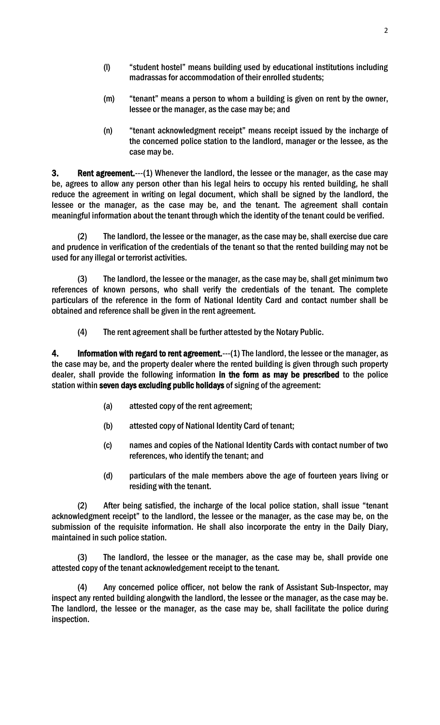- (l) "student hostel" means building used by educational institutions including madrassas for accommodation of their enrolled students;
- (m) "tenant" means a person to whom a building is given on rent by the owner, lessee or the manager, as the case may be; and
- (n) "tenant acknowledgment receipt" means receipt issued by the incharge of the concerned police station to the landlord, manager or the lessee, as the case may be.

3. Rent agreement.---(1) Whenever the landlord, the lessee or the manager, as the case may be, agrees to allow any person other than his legal heirs to occupy his rented building, he shall reduce the agreement in writing on legal document, which shall be signed by the landlord, the lessee or the manager, as the case may be, and the tenant. The agreement shall contain meaningful information about the tenant through which the identity of the tenant could be verified.

 (2) The landlord, the lessee or the manager, as the case may be, shall exercise due care and prudence in verification of the credentials of the tenant so that the rented building may not be used for any illegal or terrorist activities.

 (3) The landlord, the lessee or the manager, as the case may be, shall get minimum two references of known persons, who shall verify the credentials of the tenant. The complete particulars of the reference in the form of National Identity Card and contact number shall be obtained and reference shall be given in the rent agreement.

(4) The rent agreement shall be further attested by the Notary Public.

4. Information with regard to rent agreement.---(1) The landlord, the lessee or the manager, as the case may be, and the property dealer where the rented building is given through such property dealer, shall provide the following information in the form as may be prescribed to the police station within seven days excluding public holidays of signing of the agreement:

- (a) attested copy of the rent agreement;
- (b) attested copy of National Identity Card of tenant;
- (c) names and copies of the National Identity Cards with contact number of two references, who identify the tenant; and
- (d) particulars of the male members above the age of fourteen years living or residing with the tenant.

 (2) After being satisfied, the incharge of the local police station, shall issue "tenant acknowledgment receipt" to the landlord, the lessee or the manager, as the case may be, on the submission of the requisite information. He shall also incorporate the entry in the Daily Diary, maintained in such police station.

The landlord, the lessee or the manager, as the case may be, shall provide one attested copy of the tenant acknowledgement receipt to the tenant.

 (4) Any concerned police officer, not below the rank of Assistant Sub-Inspector, may inspect any rented building alongwith the landlord, the lessee or the manager, as the case may be. The landlord, the lessee or the manager, as the case may be, shall facilitate the police during inspection.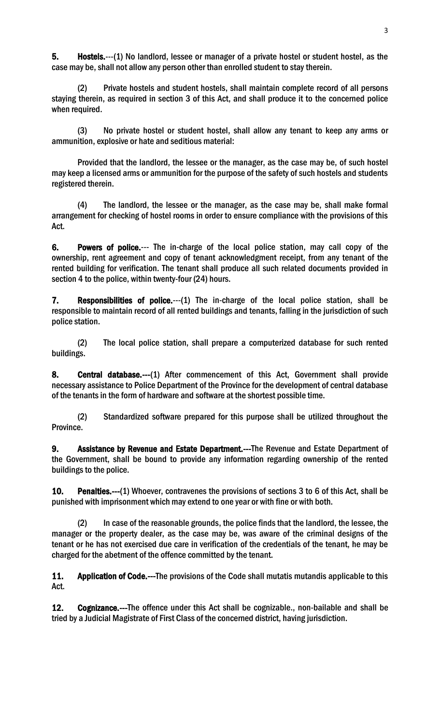5. Hostels.---(1) No landlord, lessee or manager of a private hostel or student hostel, as the case may be, shall not allow any person other than enrolled student to stay therein.

(2) Private hostels and student hostels, shall maintain complete record of all persons staying therein, as required in section 3 of this Act, and shall produce it to the concerned police when required.

(3) No private hostel or student hostel, shall allow any tenant to keep any arms or ammunition, explosive or hate and seditious material:

Provided that the landlord, the lessee or the manager, as the case may be, of such hostel may keep a licensed arms or ammunition for the purpose of the safety of such hostels and students registered therein.

(4) The landlord, the lessee or the manager, as the case may be, shall make formal arrangement for checking of hostel rooms in order to ensure compliance with the provisions of this Act.

6. Powers of police.--- The in-charge of the local police station, may call copy of the ownership, rent agreement and copy of tenant acknowledgment receipt, from any tenant of the rented building for verification. The tenant shall produce all such related documents provided in section 4 to the police, within twenty-four (24) hours.

7. Responsibilities of police.---(1) The in-charge of the local police station, shall be responsible to maintain record of all rented buildings and tenants, falling in the jurisdiction of such police station.

(2) The local police station, shall prepare a computerized database for such rented buildings.

8. Central database.---(1) After commencement of this Act, Government shall provide necessary assistance to Police Department of the Province for the development of central database of the tenants in the form of hardware and software at the shortest possible time.

 (2) Standardized software prepared for this purpose shall be utilized throughout the Province.

9. Assistance by Revenue and Estate Department.---The Revenue and Estate Department of the Government, shall be bound to provide any information regarding ownership of the rented buildings to the police.

10. Penalties.---(1) Whoever, contravenes the provisions of sections 3 to 6 of this Act, shall be punished with imprisonment which may extend to one year or with fine or with both.

 (2) In case of the reasonable grounds, the police finds that the landlord, the lessee, the manager or the property dealer, as the case may be, was aware of the criminal designs of the tenant or he has not exercised due care in verification of the credentials of the tenant, he may be charged for the abetment of the offence committed by the tenant.

11. Application of Code.---The provisions of the Code shall mutatis mutandis applicable to this Act.

12. Cognizance.---The offence under this Act shall be cognizable., non-bailable and shall be tried by a Judicial Magistrate of First Class of the concerned district, having jurisdiction.